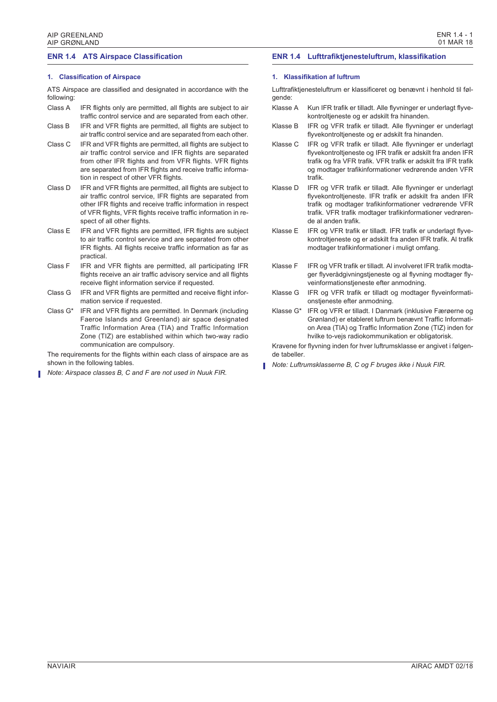$FNR 14 - 1$ 

01 MAR 18

## **ENR 1.4 ATS Airspace Classification**

## **1. Classification of Airspace**

ATS Airspace are classified and designated in accordance with the following:

- Class A IFR flights only are permitted, all flights are subject to air traffic control service and are separated from each other.
- Class B IFR and VFR flights are permitted, all flights are subject to air traffic control service and are separated from each other.
- Class C IFR and VFR flights are permitted, all flights are subject to air traffic control service and IFR flights are separated from other IFR flights and from VFR flights. VFR flights are separated from IFR flights and receive traffic information in respect of other VFR flights.
- Class D IFR and VFR flights are permitted, all flights are subject to air traffic control service, IFR flights are separated from other IFR flights and receive traffic information in respect of VFR flights, VFR flights receive traffic information in respect of all other flights.
- Class E IFR and VFR flights are permitted, IFR flights are subject to air traffic control service and are separated from other IFR flights. All flights receive traffic information as far as practical.
- Class F IFR and VFR flights are permitted, all participating IFR flights receive an air traffic advisory service and all flights receive flight information service if requested.
- Class G IFR and VFR flights are permitted and receive flight information service if requested.
- Class G\* IFR and VFR flights are permitted. In Denmark (including Faeroe Islands and Greenland) air space designated Traffic Information Area (TIA) and Traffic Information Zone (TIZ) are established within which two-way radio communication are compulsory.

The requirements for the flights within each class of airspace are as shown in the following tables.

*Note: Airspace classes B, C and F are not used in Nuuk FIR.*

## **ENR 1.4 Lufttrafiktjenesteluftrum, klassifikation**

## **1. Klassifikation af luftrum**

Lufttrafiktjenesteluftrum er klassificeret og benævnt i henhold til følgende:

- Klasse A Kun IFR trafik er tilladt. Alle flyvninger er underlagt flyvekontroltjeneste og er adskilt fra hinanden.
- Klasse B IFR og VFR trafik er tilladt. Alle flyvninger er underlagt flyvekontroltjeneste og er adskilt fra hinanden.
- Klasse C IFR og VFR trafik er tilladt. Alle flyvninger er underlagt flyvekontroltjeneste og IFR trafik er adskilt fra anden IFR trafik og fra VFR trafik. VFR trafik er adskilt fra IFR trafik og modtager trafikinformationer vedrørende anden VFR trafik.
- Klasse D IFR og VFR trafik er tilladt. Alle flyvninger er underlagt flyvekontroltjeneste. IFR trafik er adskilt fra anden IFR trafik og modtager trafikinformationer vedrørende VFR trafik. VFR trafik modtager trafikinformationer vedrørende al anden trafik.
- Klasse E IFR og VFR trafik er tilladt. IFR trafik er underlagt flyvekontroltjeneste og er adskilt fra anden IFR trafik. Al trafik modtager trafikinformationer i muligt omfang.
- Klasse F IFR og VFR trafik er tilladt. Al involveret IFR trafik modtager flyverådgivningstjeneste og al flyvning modtager flyveinformationstjeneste efter anmodning.
- Klasse G IFR og VFR trafik er tilladt og modtager flyveinformationstjeneste efter anmodning.
- Klasse G\* IFR og VFR er tilladt. I Danmark (inklusive Færøerne og Grønland) er etableret luftrum benævnt Traffic Information Area (TIA) og Traffic Information Zone (TIZ) inden for hvilke to-vejs radiokommunikation er obligatorisk.

Kravene for flyvning inden for hver luftrumsklasse er angivet i følgende tabeller.

*Note: Luftrumsklasserne B, C og F bruges ikke i Nuuk FIR.*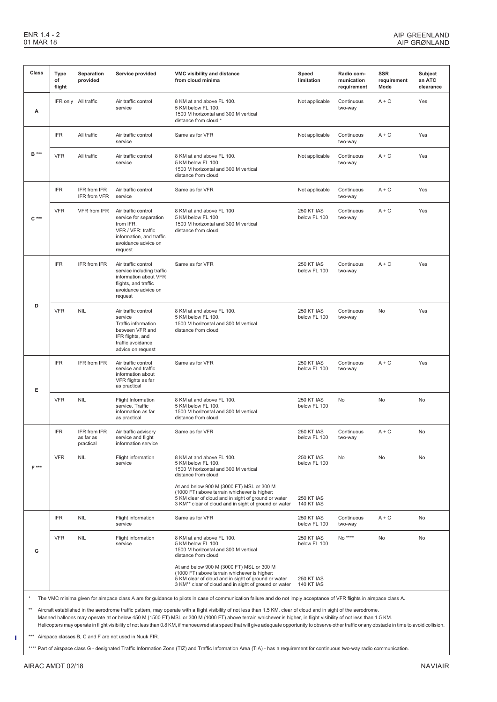| Class        | Type<br>of<br>flight | Separation<br>provided                 | Service provided                                                                                                                               | VMC visibility and distance<br>from cloud minima                                                                                                                                                                                                                                                                                                                                   | Speed<br>limitation                    | Radio com-<br>munication<br>requirement | <b>SSR</b><br>requirement<br>Mode | Subject<br>an ATC<br>clearance |
|--------------|----------------------|----------------------------------------|------------------------------------------------------------------------------------------------------------------------------------------------|------------------------------------------------------------------------------------------------------------------------------------------------------------------------------------------------------------------------------------------------------------------------------------------------------------------------------------------------------------------------------------|----------------------------------------|-----------------------------------------|-----------------------------------|--------------------------------|
| А            |                      | IFR only All traffic                   | Air traffic control<br>service                                                                                                                 | 8 KM at and above FL 100.<br>5 KM below FL 100.<br>1500 M horizontal and 300 M vertical<br>distance from cloud *                                                                                                                                                                                                                                                                   | Not applicable                         | Continuous<br>two-way                   | $A + C$                           | Yes                            |
| <b>B</b> *** | <b>IFR</b>           | All traffic                            | Air traffic control<br>service                                                                                                                 | Same as for VFR                                                                                                                                                                                                                                                                                                                                                                    | Not applicable                         | Continuous<br>two-way                   | $A + C$                           | Yes                            |
|              | <b>VFR</b>           | All traffic                            | Air traffic control<br>service                                                                                                                 | 8 KM at and above FL 100.<br>5 KM below FL 100.<br>1500 M horizontal and 300 M vertical<br>distance from cloud                                                                                                                                                                                                                                                                     | Not applicable                         | Continuous<br>two-way                   | $A + C$                           | Yes                            |
| $C***$       | <b>IFR</b>           | IFR from IFR<br>IFR from VFR           | Air traffic control<br>service                                                                                                                 | Same as for VFR                                                                                                                                                                                                                                                                                                                                                                    | Not applicable                         | Continuous<br>two-way                   | $A + C$                           | Yes                            |
|              | <b>VFR</b>           | VFR from IFR                           | Air traffic control<br>service for separation<br>from IFR.<br>VFR / VFR: traffic<br>information, and traffic<br>avoidance advice on<br>request | 8 KM at and above FL 100<br>5 KM below FL 100<br>1500 M horizontal and 300 M vertical<br>distance from cloud                                                                                                                                                                                                                                                                       | <b>250 KT IAS</b><br>below FL 100      | Continuous<br>two-way                   | $A + C$                           | Yes                            |
| D            | <b>IFR</b>           | IFR from IFR                           | Air traffic control<br>service including traffic<br>information about VFR<br>flights, and traffic<br>avoidance advice on<br>request            | Same as for VFR                                                                                                                                                                                                                                                                                                                                                                    | <b>250 KT IAS</b><br>below FL 100      | Continuous<br>two-way                   | $A + C$                           | Yes                            |
|              | <b>VFR</b>           | <b>NIL</b>                             | Air traffic control<br>service<br><b>Traffic information</b><br>between VFR and<br>IFR flights, and<br>traffic avoidance<br>advice on request  | 8 KM at and above FL 100.<br>5 KM below FL 100.<br>1500 M horizontal and 300 M vertical<br>distance from cloud                                                                                                                                                                                                                                                                     | <b>250 KT IAS</b><br>below FL 100      | Continuous<br>two-way                   | <b>No</b>                         | Yes                            |
| Е            | <b>IFR</b>           | IFR from IFR                           | Air traffic control<br>service and traffic<br>information about<br>VFR flights as far<br>as practical                                          | Same as for VFR                                                                                                                                                                                                                                                                                                                                                                    | <b>250 KT IAS</b><br>below FL 100      | Continuous<br>two-way                   | $A + C$                           | Yes                            |
|              | <b>VFR</b>           | <b>NIL</b>                             | Flight Information<br>service. Traffic<br>information as far<br>as practical                                                                   | 8 KM at and above FL 100.<br>5 KM below FL 100.<br>1500 M horizontal and 300 M vertical<br>distance from cloud                                                                                                                                                                                                                                                                     | <b>250 KT IAS</b><br>below FL 100      | No                                      | No                                | No                             |
| $F***$       | <b>IFR</b>           | IFR from IFR<br>as far as<br>practical | Air traffic advisory<br>service and flight<br>information service                                                                              | Same as for VFR                                                                                                                                                                                                                                                                                                                                                                    | <b>250 KT IAS</b><br>below FL 100      | Continuous<br>two-way                   | $A + C$                           | <b>No</b>                      |
|              | <b>VFR</b>           | <b>NIL</b>                             | Flight information<br>service                                                                                                                  | 8 KM at and above FL 100.<br>5 KM below FL 100.<br>1500 M horizontal and 300 M vertical<br>distance from cloud                                                                                                                                                                                                                                                                     | <b>250 KT IAS</b><br>below FL 100      | No                                      | No                                | No                             |
|              |                      |                                        |                                                                                                                                                | At and below 900 M (3000 FT) MSL or 300 M<br>(1000 FT) above terrain whichever is higher:<br>5 KM clear of cloud and in sight of ground or water<br>3 KM <sup>**</sup> clear of cloud and in sight of ground or water                                                                                                                                                              | <b>250 KT IAS</b><br><b>140 KT IAS</b> |                                         |                                   |                                |
| G            | <b>IFR</b>           | <b>NIL</b>                             | Flight information<br>service                                                                                                                  | Same as for VFR                                                                                                                                                                                                                                                                                                                                                                    | <b>250 KT IAS</b><br>below FL 100      | Continuous<br>two-way                   | $A + C$                           | No                             |
|              | <b>VFR</b>           | <b>NIL</b>                             | Flight information<br>service                                                                                                                  | 8 KM at and above FL 100.<br>5 KM below FL 100.<br>1500 M horizontal and 300 M vertical<br>distance from cloud                                                                                                                                                                                                                                                                     | <b>250 KT IAS</b><br>below FL 100      | No ****                                 | No                                | <b>No</b>                      |
|              |                      |                                        |                                                                                                                                                | At and below 900 M (3000 FT) MSL or 300 M<br>(1000 FT) above terrain whichever is higher:<br>5 KM clear of cloud and in sight of ground or water<br>3 KM** clear of cloud and in sight of ground or water<br>The VMC minima given for airspace class A are for guidance to pilots in case of communication failure and do not imply acceptance of VFR flights in airspace class A. | <b>250 KT IAS</b><br><b>140 KT IAS</b> |                                         |                                   |                                |

\*\* Aircraft established in the aerodrome traffic pattern, may operate with a flight visibility of not less than 1.5 KM, clear of cloud and in sight of the aerodrome. Manned balloons may operate at or below 450 M (1500 FT) MSL or 300 M (1000 FT) above terrain whichever is higher, in flight visibility of not less than 1.5 KM.

Helicopters may operate in flight visibility of not less than 0.8 KM, if manoeuvred at a speed that will give adequate opportunity to observe other traffic or any obstacle in time to avoid collision.

\*\*\* Airspace classes B, C and F are not used in Nuuk FIR.

\*\*\*\* Part of airspace class G - designated Traffic Information Zone (TIZ) and Traffic Information Area (TIA) - has a requirement for continuous two-way radio communication.

Ť